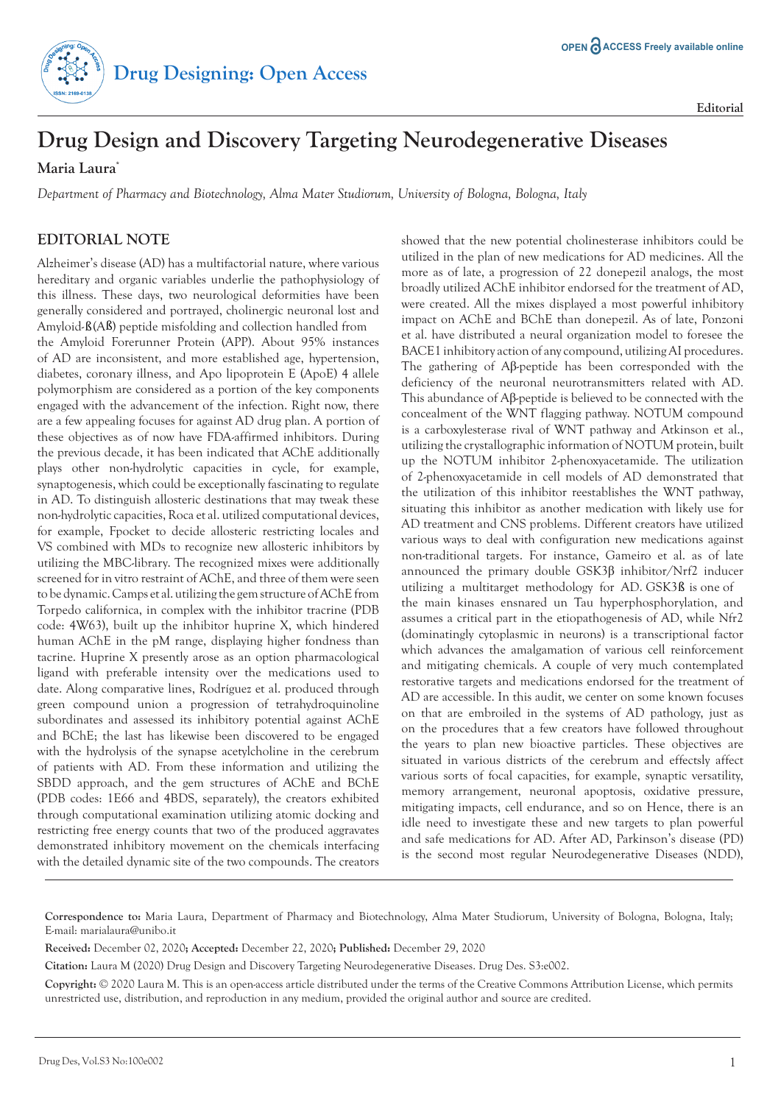

## **Drug Design and Discovery Targeting Neurodegenerative Diseases**

**Maria Laura\***

*Department of Pharmacy and Biotechnology, Alma Mater Studiorum, University of Bologna, Bologna, Italy*

## **EDITORIAL NOTE**

Alzheimer's disease (AD) has a multifactorial nature, where various hereditary and organic variables underlie the pathophysiology of this illness. These days, two neurological deformities have been generally considered and portrayed, cholinergic neuronal lost and Amyloid-ß(Aß) peptide misfolding and collection handled from

the Amyloid Forerunner Protein (APP). About 95% instances of AD are inconsistent, and more established age, hypertension, diabetes, coronary illness, and Apo lipoprotein E (ApoE) 4 allele polymorphism are considered as a portion of the key components engaged with the advancement of the infection. Right now, there are a few appealing focuses for against AD drug plan. A portion of these objectives as of now have FDA-affirmed inhibitors. During the previous decade, it has been indicated that AChE additionally plays other non-hydrolytic capacities in cycle, for example, synaptogenesis, which could be exceptionally fascinating to regulate in AD. To distinguish allosteric destinations that may tweak these non-hydrolytic capacities, Roca et al. utilized computational devices, for example, Fpocket to decide allosteric restricting locales and VS combined with MDs to recognize new allosteric inhibitors by utilizing the MBC-library. The recognized mixes were additionally screened for in vitro restraint of AChE, and three of them were seen to be dynamic. Camps et al. utilizing the gem structure of AChE from Torpedo californica, in complex with the inhibitor tracrine (PDB code: 4W63), built up the inhibitor huprine X, which hindered human AChE in the pM range, displaying higher fondness than tacrine. Huprine X presently arose as an option pharmacological ligand with preferable intensity over the medications used to date. Along comparative lines, Rodríguez et al. produced through green compound union a progression of tetrahydroquinoline subordinates and assessed its inhibitory potential against AChE and BChE; the last has likewise been discovered to be engaged with the hydrolysis of the synapse acetylcholine in the cerebrum of patients with AD. From these information and utilizing the SBDD approach, and the gem structures of AChE and BChE (PDB codes: 1E66 and 4BDS, separately), the creators exhibited through computational examination utilizing atomic docking and restricting free energy counts that two of the produced aggravates demonstrated inhibitory movement on the chemicals interfacing with the detailed dynamic site of the two compounds. The creators

showed that the new potential cholinesterase inhibitors could be utilized in the plan of new medications for AD medicines. All the more as of late, a progression of 22 donepezil analogs, the most broadly utilized AChE inhibitor endorsed for the treatment of AD, were created. All the mixes displayed a most powerful inhibitory impact on AChE and BChE than donepezil. As of late, Ponzoni et al. have distributed a neural organization model to foresee the BACE1 inhibitory action of any compound, utilizing AI procedures. The gathering of Aβ-peptide has been corresponded with the deficiency of the neuronal neurotransmitters related with AD. This abundance of Aβ-peptide is believed to be connected with the concealment of the WNT flagging pathway. NOTUM compound is a carboxylesterase rival of WNT pathway and Atkinson et al., utilizing the crystallographic information of NOTUM protein, built up the NOTUM inhibitor 2-phenoxyacetamide. The utilization of 2-phenoxyacetamide in cell models of AD demonstrated that the utilization of this inhibitor reestablishes the WNT pathway, situating this inhibitor as another medication with likely use for AD treatment and CNS problems. Different creators have utilized various ways to deal with configuration new medications against non-traditional targets. For instance, Gameiro et al. as of late announced the primary double GSK3β inhibitor/Nrf2 inducer the main kinases ensnared un Tau hyperphosphorylation, and assumes a critical part in the etiopathogenesis of AD, while Nfr2 (dominatingly cytoplasmic in neurons) is a transcriptional factor which advances the amalgamation of various cell reinforcement and mitigating chemicals. A couple of very much contemplated restorative targets and medications endorsed for the treatment of AD are accessible. In this audit, we center on some known focuses on that are embroiled in the systems of AD pathology, just as on the procedures that a few creators have followed throughout the years to plan new bioactive particles. These objectives are situated in various districts of the cerebrum and effectsly affect various sorts of focal capacities, for example, synaptic versatility, memory arrangement, neuronal apoptosis, oxidative pressure, mitigating impacts, cell endurance, and so on Hence, there is an idle need to investigate these and new targets to plan powerful and safe medications for AD. After AD, Parkinson's disease (PD) is the second most regular Neurodegenerative Diseases (NDD), utilizing a multitarget methodology for AD. GSK3ß is one of

**Copyright:** © 2020 Laura M. This is an open-access article distributed under the terms of the Creative Commons Attribution License, which permits unrestricted use, distribution, and reproduction in any medium, provided the original author and source are credited.

**Correspondence to:** Maria Laura, Department of Pharmacy and Biotechnology, Alma Mater Studiorum, University of Bologna, Bologna, Italy; E-mail: marialaura@unibo.it

**Received:** December 02, 2020**; Accepted:** December 22, 2020**; Published:** December 29, 2020

**Citation:** Laura M (2020) Drug Design and Discovery Targeting Neurodegenerative Diseases. Drug Des. S3:e002.